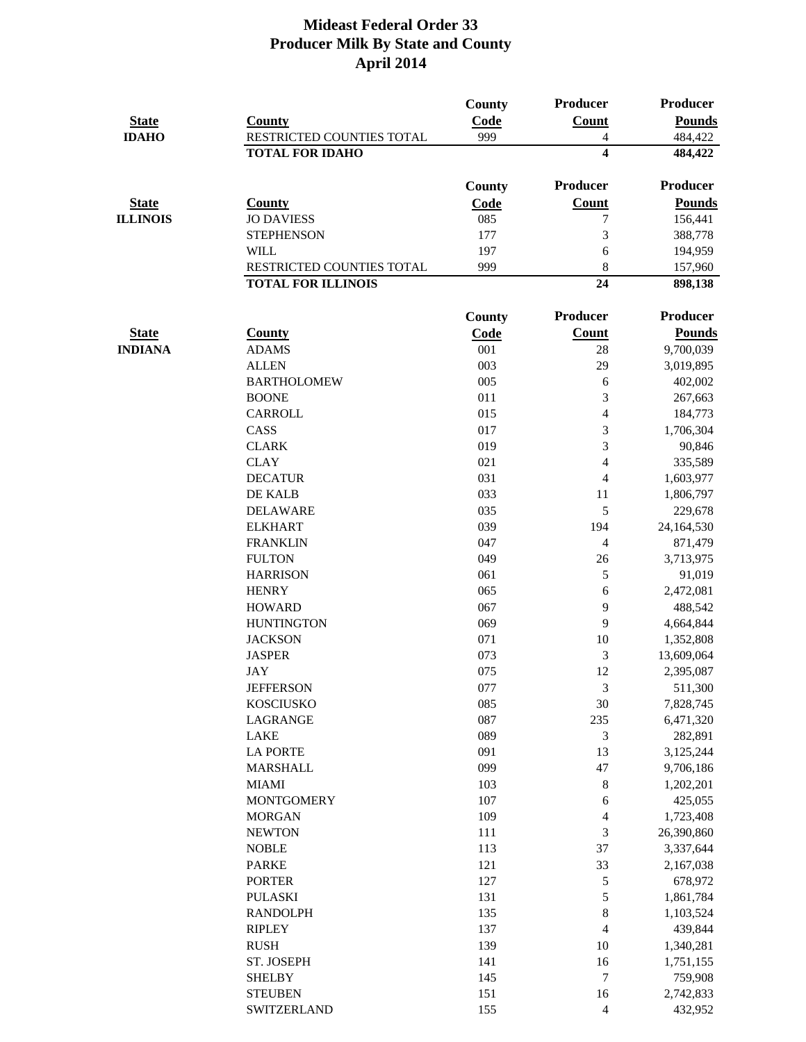|                 |                           | <b>County</b> | Producer                 | Producer            |
|-----------------|---------------------------|---------------|--------------------------|---------------------|
| <b>State</b>    | <b>County</b>             | Code          | <b>Count</b>             | <b>Pounds</b>       |
| <b>IDAHO</b>    | RESTRICTED COUNTIES TOTAL | 999           | 4                        | 484,422             |
|                 | <b>TOTAL FOR IDAHO</b>    |               | $\overline{\mathbf{4}}$  | 484,422             |
|                 |                           | County        | Producer                 | Producer            |
| <b>State</b>    | <b>County</b>             | <b>Code</b>   | <b>Count</b>             | <b>Pounds</b>       |
| <b>ILLINOIS</b> | <b>JO DAVIESS</b>         | 085           | 7                        | 156,441             |
|                 | <b>STEPHENSON</b>         | 177           | 3                        | 388,778             |
|                 | <b>WILL</b>               | 197           | 6                        | 194,959             |
|                 | RESTRICTED COUNTIES TOTAL | 999           | 8                        | 157,960             |
|                 | <b>TOTAL FOR ILLINOIS</b> |               | 24                       | 898,138             |
|                 |                           | <b>County</b> | <b>Producer</b>          | <b>Producer</b>     |
| <b>State</b>    | <b>County</b>             | <b>Code</b>   | <b>Count</b>             | <b>Pounds</b>       |
| <b>INDIANA</b>  | <b>ADAMS</b>              | 001           | 28                       | 9,700,039           |
|                 | <b>ALLEN</b>              | 003           | 29                       | 3,019,895           |
|                 | <b>BARTHOLOMEW</b>        | 005           | 6                        | 402,002             |
|                 | <b>BOONE</b>              | 011           | 3                        | 267,663             |
|                 | <b>CARROLL</b>            | 015           | 4                        | 184,773             |
|                 | CASS                      | 017           | 3                        | 1,706,304           |
|                 | <b>CLARK</b>              | 019           | 3                        | 90,846              |
|                 | <b>CLAY</b>               | 021           | 4                        | 335,589             |
|                 | <b>DECATUR</b>            | 031           | $\overline{\mathcal{A}}$ | 1,603,977           |
|                 | DE KALB                   | 033           | 11                       | 1,806,797           |
|                 | <b>DELAWARE</b>           | 035           | 5                        | 229,678             |
|                 | <b>ELKHART</b>            | 039           | 194                      | 24,164,530          |
|                 | <b>FRANKLIN</b>           | 047           | 4                        | 871,479             |
|                 | <b>FULTON</b>             | 049           | 26                       |                     |
|                 | <b>HARRISON</b>           | 061           | 5                        | 3,713,975<br>91,019 |
|                 |                           |               |                          |                     |
|                 | <b>HENRY</b>              | 065           | 6                        | 2,472,081           |
|                 | <b>HOWARD</b>             | 067           | 9                        | 488,542             |
|                 | <b>HUNTINGTON</b>         | 069           | 9                        | 4,664,844           |
|                 | <b>JACKSON</b>            | 071           | 10                       | 1,352,808           |
|                 | <b>JASPER</b>             | 073           | 3                        | 13,609,064          |
|                 | <b>JAY</b>                | 075           | 12                       | 2,395,087           |
|                 | <b>JEFFERSON</b>          | 077           | 3                        | 511,300             |
|                 | <b>KOSCIUSKO</b>          | 085           | 30                       | 7,828,745           |
|                 | <b>LAGRANGE</b>           | 087           | 235                      | 6,471,320           |
|                 | <b>LAKE</b>               | 089           | 3                        | 282,891             |
|                 | <b>LA PORTE</b>           | 091           | 13                       | 3,125,244           |
|                 | <b>MARSHALL</b>           | 099           | 47                       | 9,706,186           |
|                 | <b>MIAMI</b>              | 103           | $\,8\,$                  | 1,202,201           |
|                 | <b>MONTGOMERY</b>         | 107           | $\sqrt{6}$               | 425,055             |
|                 | <b>MORGAN</b>             | 109           | 4                        | 1,723,408           |
|                 | <b>NEWTON</b>             | 111           | 3                        | 26,390,860          |
|                 | <b>NOBLE</b>              | 113           | 37                       | 3,337,644           |
|                 | <b>PARKE</b>              | 121           | 33                       | 2,167,038           |
|                 | <b>PORTER</b>             | 127           | 5                        | 678,972             |
|                 | <b>PULASKI</b>            | 131           | 5                        | 1,861,784           |
|                 | <b>RANDOLPH</b>           | 135           | 8                        | 1,103,524           |
|                 | <b>RIPLEY</b>             | 137           | 4                        | 439,844             |
|                 | <b>RUSH</b>               | 139           | 10                       | 1,340,281           |
|                 | ST. JOSEPH                | 141           | 16                       | 1,751,155           |
|                 | <b>SHELBY</b>             | 145           | $\overline{7}$           | 759,908             |
|                 | <b>STEUBEN</b>            | 151           | 16                       | 2,742,833           |
|                 | <b>SWITZERLAND</b>        | 155           | $\overline{4}$           | 432,952             |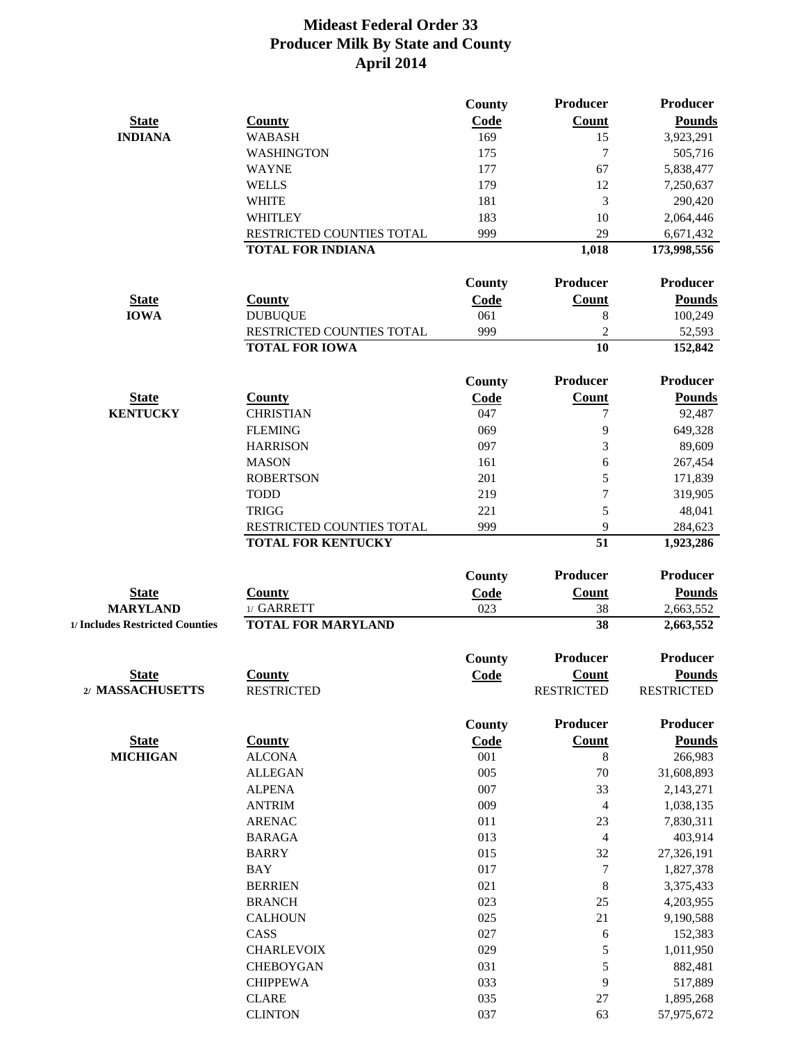|                                 |                           | <b>County</b> | Producer          | <b>Producer</b>   |
|---------------------------------|---------------------------|---------------|-------------------|-------------------|
| <b>State</b>                    | <b>County</b>             | Code          | <b>Count</b>      | <b>Pounds</b>     |
| <b>INDIANA</b>                  | <b>WABASH</b>             | 169           | 15                | 3,923,291         |
|                                 | <b>WASHINGTON</b>         | 175           | 7                 | 505,716           |
|                                 | <b>WAYNE</b>              | 177           | 67                | 5,838,477         |
|                                 | <b>WELLS</b>              | 179           | 12                | 7,250,637         |
|                                 | <b>WHITE</b>              | 181           | 3                 | 290,420           |
|                                 | <b>WHITLEY</b>            | 183           | 10                | 2,064,446         |
|                                 | RESTRICTED COUNTIES TOTAL | 999           | 29                | 6,671,432         |
|                                 | <b>TOTAL FOR INDIANA</b>  |               | 1,018             | 173,998,556       |
|                                 |                           | <b>County</b> | Producer          | Producer          |
| <b>State</b>                    | <b>County</b>             | Code          | <b>Count</b>      | <b>Pounds</b>     |
| <b>IOWA</b>                     | <b>DUBUQUE</b>            | 061           | 8                 | 100,249           |
|                                 | RESTRICTED COUNTIES TOTAL | 999           | $\overline{2}$    | 52,593            |
|                                 | <b>TOTAL FOR IOWA</b>     |               | 10                | 152,842           |
|                                 |                           | County        | Producer          | <b>Producer</b>   |
|                                 |                           |               |                   |                   |
| <b>State</b>                    | <b>County</b>             | <b>Code</b>   | <b>Count</b>      | <b>Pounds</b>     |
| <b>KENTUCKY</b>                 | <b>CHRISTIAN</b>          | 047           | $\tau$            | 92,487            |
|                                 | <b>FLEMING</b>            | 069           | 9                 | 649,328           |
|                                 | <b>HARRISON</b>           | 097           | 3                 | 89,609            |
|                                 | <b>MASON</b>              | 161           | 6                 | 267,454           |
|                                 | <b>ROBERTSON</b>          | 201           | 5                 | 171,839           |
|                                 | <b>TODD</b>               | 219           | $\overline{7}$    | 319,905           |
|                                 | <b>TRIGG</b>              | 221           | 5                 | 48,041            |
|                                 | RESTRICTED COUNTIES TOTAL | 999           | 9                 | 284,623           |
|                                 | <b>TOTAL FOR KENTUCKY</b> |               | 51                | 1,923,286         |
|                                 |                           | <b>County</b> | Producer          | <b>Producer</b>   |
| <b>State</b>                    | <b>County</b>             | <b>Code</b>   | <b>Count</b>      | <b>Pounds</b>     |
| <b>MARYLAND</b>                 | 1/ GARRETT                | 023           | 38                | 2,663,552         |
| 1/ Includes Restricted Counties | <b>TOTAL FOR MARYLAND</b> |               | 38                | 2,663,552         |
|                                 |                           | <b>County</b> | Producer          | <b>Producer</b>   |
| <b>State</b>                    | <b>County</b>             | Code          | <b>Count</b>      | <b>Pounds</b>     |
| 2/ MASSACHUSETTS                | <b>RESTRICTED</b>         |               | <b>RESTRICTED</b> | <b>RESTRICTED</b> |
|                                 |                           | <b>County</b> | Producer          | <b>Producer</b>   |
| <b>State</b>                    | <b>County</b>             | Code          | <b>Count</b>      | <b>Pounds</b>     |
| <b>MICHIGAN</b>                 | <b>ALCONA</b>             | 001           | 8                 | 266,983           |
|                                 | <b>ALLEGAN</b>            | 005           | 70                | 31,608,893        |
|                                 | <b>ALPENA</b>             | 007           | 33                | 2,143,271         |
|                                 | <b>ANTRIM</b>             | 009           | $\overline{4}$    | 1,038,135         |
|                                 | <b>ARENAC</b>             | 011           | 23                | 7,830,311         |
|                                 | <b>BARAGA</b>             | 013           | $\overline{4}$    | 403,914           |
|                                 | <b>BARRY</b>              | 015           | 32                | 27,326,191        |
|                                 | <b>BAY</b>                | 017           | $\tau$            | 1,827,378         |
|                                 | <b>BERRIEN</b>            | 021           | 8                 | 3,375,433         |
|                                 | <b>BRANCH</b>             | 023           | 25                | 4,203,955         |
|                                 | <b>CALHOUN</b>            | 025           | 21                | 9,190,588         |
|                                 | CASS                      | 027           | 6                 | 152,383           |
|                                 | <b>CHARLEVOIX</b>         | 029           | $\mathfrak s$     | 1,011,950         |
|                                 | <b>CHEBOYGAN</b>          | 031           | 5                 | 882,481           |
|                                 | <b>CHIPPEWA</b>           | 033           | 9                 | 517,889           |
|                                 | <b>CLARE</b>              | 035           | $27\,$            | 1,895,268         |
|                                 | <b>CLINTON</b>            | 037           | 63                | 57,975,672        |
|                                 |                           |               |                   |                   |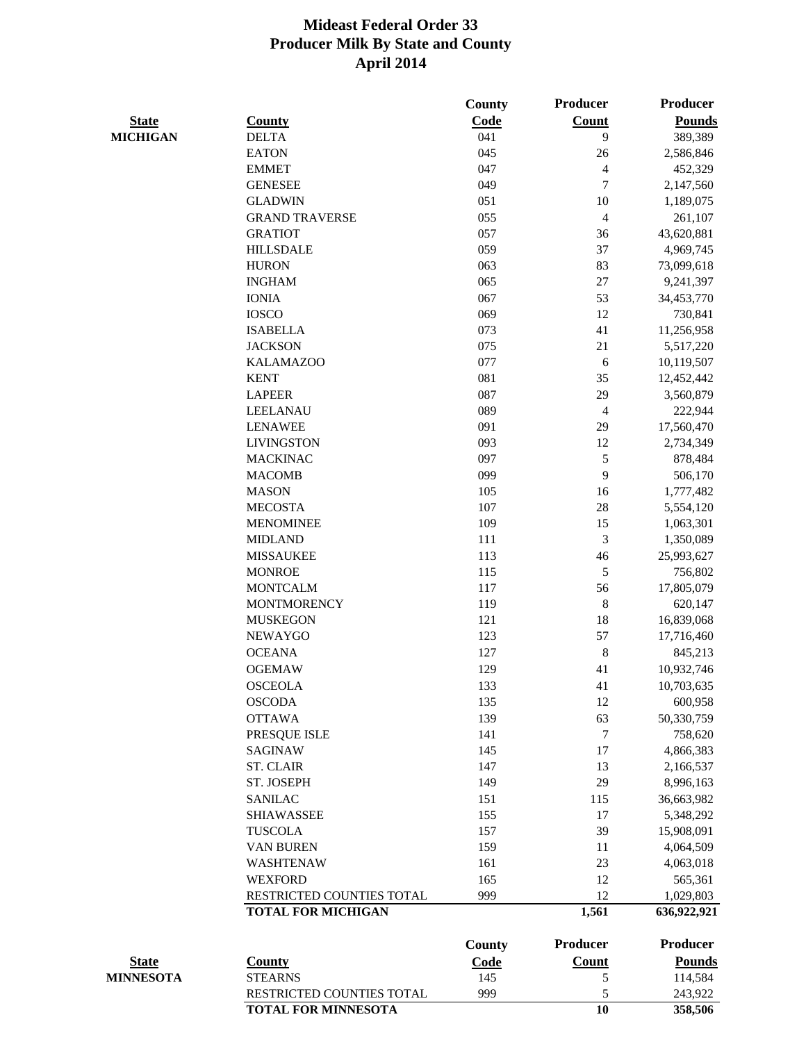|                  |                            | <b>County</b> | <b>Producer</b> | Producer      |
|------------------|----------------------------|---------------|-----------------|---------------|
| <b>State</b>     | <b>County</b>              | Code          | <b>Count</b>    | <b>Pounds</b> |
| <b>MICHIGAN</b>  | <b>DELTA</b>               | 041           | 9               | 389,389       |
|                  | <b>EATON</b>               | 045           | 26              | 2,586,846     |
|                  | <b>EMMET</b>               | 047           | $\overline{4}$  | 452,329       |
|                  | <b>GENESEE</b>             | 049           | $\tau$          | 2,147,560     |
|                  | <b>GLADWIN</b>             | 051           | 10              | 1,189,075     |
|                  | <b>GRAND TRAVERSE</b>      | 055           | $\overline{4}$  | 261,107       |
|                  | <b>GRATIOT</b>             | 057           | 36              | 43,620,881    |
|                  | <b>HILLSDALE</b>           | 059           | 37              | 4,969,745     |
|                  | <b>HURON</b>               | 063           | 83              | 73,099,618    |
|                  | <b>INGHAM</b>              | 065           | 27              | 9,241,397     |
|                  | <b>IONIA</b>               | 067           | 53              | 34,453,770    |
|                  | <b>IOSCO</b>               | 069           | 12              | 730,841       |
|                  | <b>ISABELLA</b>            | 073           | 41              | 11,256,958    |
|                  | <b>JACKSON</b>             | 075           | 21              | 5,517,220     |
|                  | <b>KALAMAZOO</b>           | 077           | 6               | 10,119,507    |
|                  | <b>KENT</b>                | 081           | 35              | 12,452,442    |
|                  | <b>LAPEER</b>              | 087           | 29              | 3,560,879     |
|                  | <b>LEELANAU</b>            | 089           | $\overline{4}$  | 222,944       |
|                  | <b>LENAWEE</b>             | 091           | 29              | 17,560,470    |
|                  | <b>LIVINGSTON</b>          | 093           | 12              | 2,734,349     |
|                  | <b>MACKINAC</b>            | 097           | $\mathfrak{S}$  | 878,484       |
|                  | <b>MACOMB</b>              | 099           | 9               | 506,170       |
|                  | <b>MASON</b>               | 105           | 16              | 1,777,482     |
|                  | <b>MECOSTA</b>             | 107           | 28              | 5,554,120     |
|                  | <b>MENOMINEE</b>           | 109           | 15              | 1,063,301     |
|                  | <b>MIDLAND</b>             | 111           | 3               | 1,350,089     |
|                  | <b>MISSAUKEE</b>           | 113           | 46              | 25,993,627    |
|                  | <b>MONROE</b>              | 115           | $\mathfrak{S}$  | 756,802       |
|                  | <b>MONTCALM</b>            | 117           | 56              | 17,805,079    |
|                  | <b>MONTMORENCY</b>         | 119           | 8               | 620,147       |
|                  | <b>MUSKEGON</b>            | 121           | 18              | 16,839,068    |
|                  | <b>NEWAYGO</b>             | 123           | 57              | 17,716,460    |
|                  | <b>OCEANA</b>              | 127           | $8\,$           | 845,213       |
|                  | <b>OGEMAW</b>              | 129           | 41              | 10,932,746    |
|                  | <b>OSCEOLA</b>             | 133           | 41              | 10,703,635    |
|                  | <b>OSCODA</b>              | 135           | 12              | 600,958       |
|                  | <b>OTTAWA</b>              | 139           | 63              | 50,330,759    |
|                  | PRESQUE ISLE               | 141           | $\tau$          | 758,620       |
|                  | <b>SAGINAW</b>             | 145           | 17              | 4,866,383     |
|                  | <b>ST. CLAIR</b>           | 147           | 13              | 2,166,537     |
|                  | ST. JOSEPH                 | 149           | 29              | 8,996,163     |
|                  | <b>SANILAC</b>             | 151           | 115             | 36,663,982    |
|                  | <b>SHIAWASSEE</b>          | 155           | 17              | 5,348,292     |
|                  | <b>TUSCOLA</b>             | 157           | 39              | 15,908,091    |
|                  | <b>VAN BUREN</b>           | 159           | 11              | 4,064,509     |
|                  | <b>WASHTENAW</b>           | 161           | 23              | 4,063,018     |
|                  | <b>WEXFORD</b>             | 165           | 12              | 565,361       |
|                  | RESTRICTED COUNTIES TOTAL  | 999           | 12              | 1,029,803     |
|                  | <b>TOTAL FOR MICHIGAN</b>  |               | 1,561           | 636,922,921   |
|                  |                            | <b>County</b> | <b>Producer</b> | Producer      |
| <b>State</b>     | <b>County</b>              | <b>Code</b>   | <b>Count</b>    | <b>Pounds</b> |
| <b>MINNESOTA</b> | <b>STEARNS</b>             | 145           | $\mathfrak{S}$  | 114,584       |
|                  | RESTRICTED COUNTIES TOTAL  | 999           | 5               | 243,922       |
|                  | <b>TOTAL FOR MINNESOTA</b> |               | 10              | 358,506       |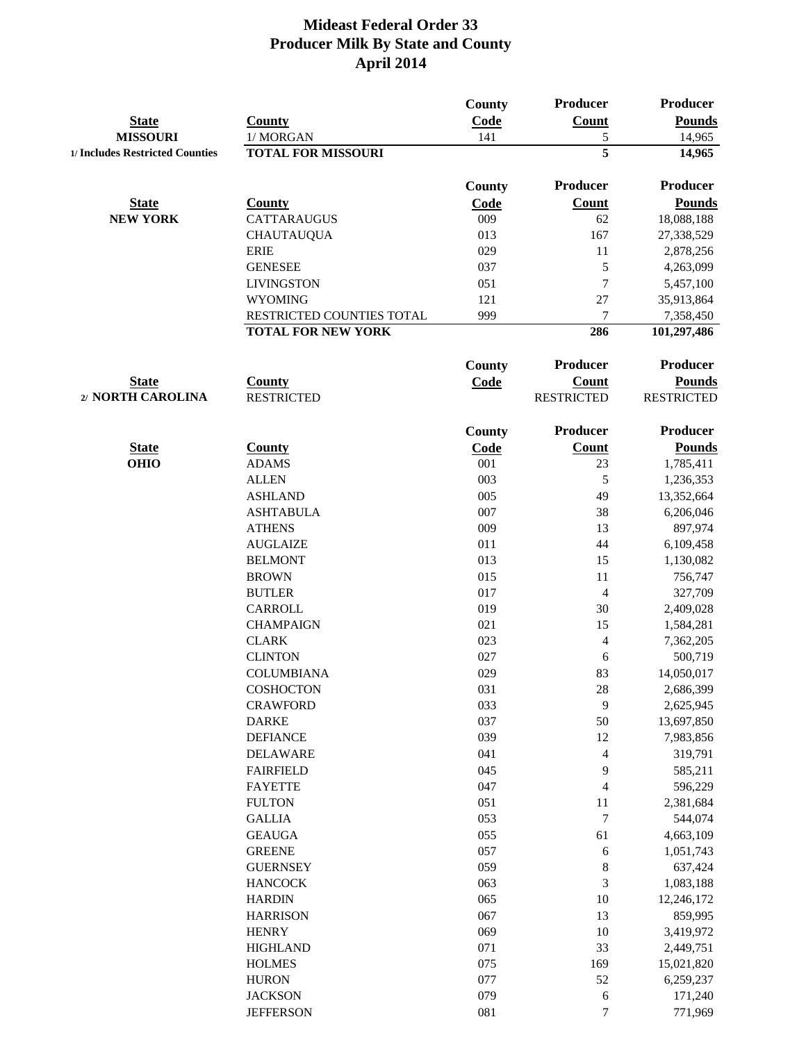|                                 |                                                        | County        | Producer                | <b>Producer</b>          |
|---------------------------------|--------------------------------------------------------|---------------|-------------------------|--------------------------|
| <b>State</b>                    | <b>County</b>                                          | Code          | <b>Count</b>            | <b>Pounds</b>            |
| <b>MISSOURI</b>                 | 1/MORGAN                                               | 141           | $\mathfrak{S}$          | 14,965                   |
| 1/ Includes Restricted Counties | <b>TOTAL FOR MISSOURI</b>                              |               | $\overline{\mathbf{5}}$ | 14,965                   |
|                                 |                                                        |               |                         |                          |
|                                 |                                                        | County        | Producer                | <b>Producer</b>          |
| <b>State</b>                    | <b>County</b>                                          | Code          | <b>Count</b>            | <b>Pounds</b>            |
| <b>NEW YORK</b>                 | <b>CATTARAUGUS</b>                                     | 009           | 62                      | 18,088,188               |
|                                 | <b>CHAUTAUQUA</b>                                      | 013           | 167                     | 27,338,529               |
|                                 | <b>ERIE</b>                                            | 029           | 11                      | 2,878,256                |
|                                 | <b>GENESEE</b>                                         | 037           | 5                       | 4,263,099                |
|                                 | <b>LIVINGSTON</b>                                      | 051           | $\overline{7}$          | 5,457,100                |
|                                 | <b>WYOMING</b>                                         | 121           | 27                      | 35,913,864               |
|                                 | RESTRICTED COUNTIES TOTAL<br><b>TOTAL FOR NEW YORK</b> | 999           | 7<br>286                | 7,358,450<br>101,297,486 |
|                                 |                                                        |               |                         |                          |
|                                 |                                                        | <b>County</b> | <b>Producer</b>         | <b>Producer</b>          |
| <b>State</b>                    | <b>County</b>                                          | <b>Code</b>   | <b>Count</b>            | <b>Pounds</b>            |
| 2/ NORTH CAROLINA               | <b>RESTRICTED</b>                                      |               | <b>RESTRICTED</b>       | <b>RESTRICTED</b>        |
|                                 |                                                        | <b>County</b> | Producer                | <b>Producer</b>          |
| <b>State</b>                    | <b>County</b>                                          | Code          | <b>Count</b>            | <b>Pounds</b>            |
| <b>OHIO</b>                     | <b>ADAMS</b>                                           | 001           | 23                      | 1,785,411                |
|                                 | <b>ALLEN</b>                                           | 003           | 5                       | 1,236,353                |
|                                 | <b>ASHLAND</b>                                         | 005           | 49                      | 13,352,664               |
|                                 | <b>ASHTABULA</b>                                       | 007           | 38                      | 6,206,046                |
|                                 | <b>ATHENS</b>                                          | 009           | 13                      | 897,974                  |
|                                 | <b>AUGLAIZE</b>                                        | 011           | 44                      | 6,109,458                |
|                                 | <b>BELMONT</b>                                         | 013           | 15                      | 1,130,082                |
|                                 | <b>BROWN</b>                                           | 015           | 11                      | 756,747                  |
|                                 | <b>BUTLER</b>                                          | 017           | $\overline{4}$          | 327,709                  |
|                                 | CARROLL                                                | 019           | 30                      | 2,409,028                |
|                                 | <b>CHAMPAIGN</b>                                       | 021           | 15                      | 1,584,281                |
|                                 | <b>CLARK</b>                                           | 023           |                         |                          |
|                                 | <b>CLINTON</b>                                         | 027           | $\overline{4}$<br>6     | 7,362,205<br>500,719     |
|                                 | <b>COLUMBIANA</b>                                      | 029           | 83                      | 14,050,017               |
|                                 | <b>COSHOCTON</b>                                       | 031           | 28                      |                          |
|                                 | <b>CRAWFORD</b>                                        | 033           | 9                       | 2,686,399                |
|                                 | <b>DARKE</b>                                           | 037           | 50                      | 2,625,945<br>13,697,850  |
|                                 | <b>DEFIANCE</b>                                        | 039           | 12                      | 7,983,856                |
|                                 | <b>DELAWARE</b>                                        | 041           | $\overline{4}$          |                          |
|                                 |                                                        |               |                         | 319,791                  |
|                                 | <b>FAIRFIELD</b>                                       | 045           | 9                       | 585,211                  |
|                                 | <b>FAYETTE</b>                                         | 047           | $\overline{4}$          | 596,229                  |
|                                 | <b>FULTON</b>                                          | 051           | 11                      | 2,381,684                |
|                                 | <b>GALLIA</b>                                          | 053           | $\tau$                  | 544,074                  |
|                                 | <b>GEAUGA</b>                                          | 055           | 61                      | 4,663,109                |
|                                 | <b>GREENE</b>                                          | 057           | 6                       | 1,051,743                |
|                                 | <b>GUERNSEY</b>                                        | 059           | $\,8\,$                 | 637,424                  |
|                                 | <b>HANCOCK</b>                                         | 063           | 3                       | 1,083,188                |
|                                 | <b>HARDIN</b>                                          | 065           | 10                      | 12,246,172               |
|                                 | <b>HARRISON</b>                                        | 067           | 13                      | 859,995                  |
|                                 | <b>HENRY</b>                                           | 069           | 10                      | 3,419,972                |
|                                 | <b>HIGHLAND</b>                                        | 071           | 33                      | 2,449,751                |
|                                 | <b>HOLMES</b>                                          | 075           | 169                     | 15,021,820               |
|                                 | <b>HURON</b>                                           | 077           | 52                      | 6,259,237                |
|                                 | <b>JACKSON</b>                                         | 079           | 6                       | 171,240                  |
|                                 | <b>JEFFERSON</b>                                       | 081           | $\overline{7}$          | 771,969                  |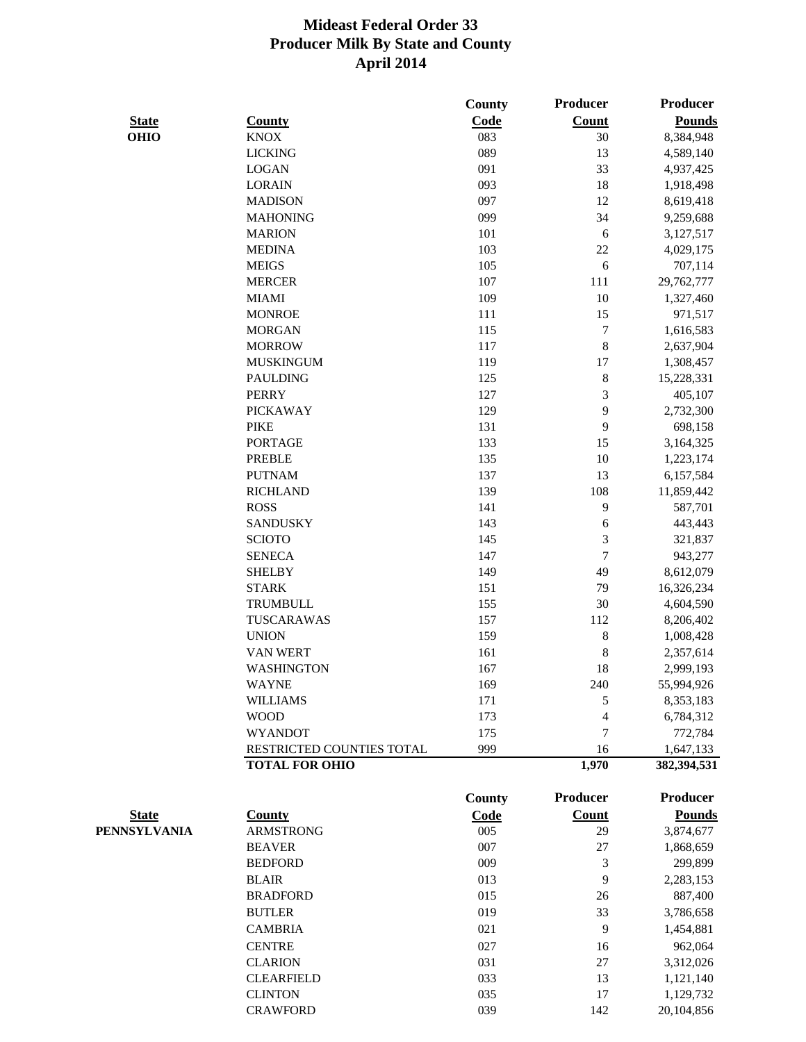|              |                           | <b>County</b> | <b>Producer</b> | <b>Producer</b> |
|--------------|---------------------------|---------------|-----------------|-----------------|
| <b>State</b> | <b>County</b>             | Code          | <b>Count</b>    | <b>Pounds</b>   |
| <b>OHIO</b>  | <b>KNOX</b>               | 083           | 30              | 8,384,948       |
|              | <b>LICKING</b>            | 089           | 13              | 4,589,140       |
|              | <b>LOGAN</b>              | 091           | 33              | 4,937,425       |
|              | <b>LORAIN</b>             | 093           | 18              | 1,918,498       |
|              | <b>MADISON</b>            | 097           | 12              | 8,619,418       |
|              | <b>MAHONING</b>           | 099           | 34              | 9,259,688       |
|              | <b>MARION</b>             | 101           | 6               | 3,127,517       |
|              | <b>MEDINA</b>             | 103           | 22              | 4,029,175       |
|              | <b>MEIGS</b>              | 105           | 6               | 707,114         |
|              | <b>MERCER</b>             | 107           | 111             | 29,762,777      |
|              | <b>MIAMI</b>              | 109           | 10              | 1,327,460       |
|              | <b>MONROE</b>             | 111           | 15              | 971,517         |
|              | <b>MORGAN</b>             | 115           | $\tau$          | 1,616,583       |
|              | <b>MORROW</b>             | 117           | $8\,$           | 2,637,904       |
|              | <b>MUSKINGUM</b>          | 119           | 17              | 1,308,457       |
|              | <b>PAULDING</b>           | 125           | $8\,$           | 15,228,331      |
|              | <b>PERRY</b>              | 127           | 3               | 405,107         |
|              | <b>PICKAWAY</b>           | 129           | 9               | 2,732,300       |
|              | <b>PIKE</b>               | 131           | 9               | 698,158         |
|              | <b>PORTAGE</b>            | 133           | 15              | 3,164,325       |
|              | <b>PREBLE</b>             | 135           | 10              | 1,223,174       |
|              | <b>PUTNAM</b>             | 137           | 13              | 6,157,584       |
|              | <b>RICHLAND</b>           | 139           | 108             | 11,859,442      |
|              | <b>ROSS</b>               | 141           | 9               | 587,701         |
|              | <b>SANDUSKY</b>           | 143           | 6               | 443,443         |
|              | <b>SCIOTO</b>             | 145           | 3               | 321,837         |
|              | <b>SENECA</b>             | 147           | $\overline{7}$  | 943,277         |
|              | <b>SHELBY</b>             | 149           | 49              | 8,612,079       |
|              | <b>STARK</b>              | 151           | 79              | 16,326,234      |
|              | <b>TRUMBULL</b>           | 155           | 30              | 4,604,590       |
|              | TUSCARAWAS                | 157           | 112             | 8,206,402       |
|              | <b>UNION</b>              | 159           | $8\,$           | 1,008,428       |
|              | <b>VAN WERT</b>           | 161           | 8               | 2,357,614       |
|              | <b>WASHINGTON</b>         | 167           | 18              | 2,999,193       |
|              | <b>WAYNE</b>              | 169           | 240             | 55,994,926      |
|              | <b>WILLIAMS</b>           | 171           | 5               | 8,353,183       |
|              | <b>WOOD</b>               | 173           | $\overline{4}$  | 6,784,312       |
|              | <b>WYANDOT</b>            | 175           | $\overline{7}$  | 772,784         |
|              | RESTRICTED COUNTIES TOTAL | 999           | 16              | 1,647,133       |
|              | <b>TOTAL FOR OHIO</b>     |               | 1,970           | 382,394,531     |
|              |                           |               |                 |                 |
|              |                           | <b>County</b> | <b>Producer</b> | <b>Producer</b> |
| <b>State</b> | <b>County</b>             | Code          | <b>Count</b>    | <b>Pounds</b>   |
| PENNSYLVANIA | <b>ARMSTRONG</b>          | 005           | 29              | 3,874,677       |
|              | <b>BEAVER</b>             | 007           | 27              | 1,868,659       |
|              | <b>BEDFORD</b>            | 009           | 3               | 299,899         |
|              | <b>BLAIR</b>              | 013           | 9               | 2,283,153       |
|              | <b>BRADFORD</b>           | 015           | 26              | 887,400         |
|              | <b>BUTLER</b>             | 019           | 33              | 3,786,658       |
|              | <b>CAMBRIA</b>            | 021           | 9               | 1,454,881       |
|              | <b>CENTRE</b>             | 027           | 16              | 962,064         |
|              | <b>CLARION</b>            | 031           | 27              | 3,312,026       |
|              | <b>CLEARFIELD</b>         | 033           | 13              | 1,121,140       |
|              | <b>CLINTON</b>            | 035           | 17              | 1,129,732       |
|              | <b>CRAWFORD</b>           | 039           | 142             | 20,104,856      |
|              |                           |               |                 |                 |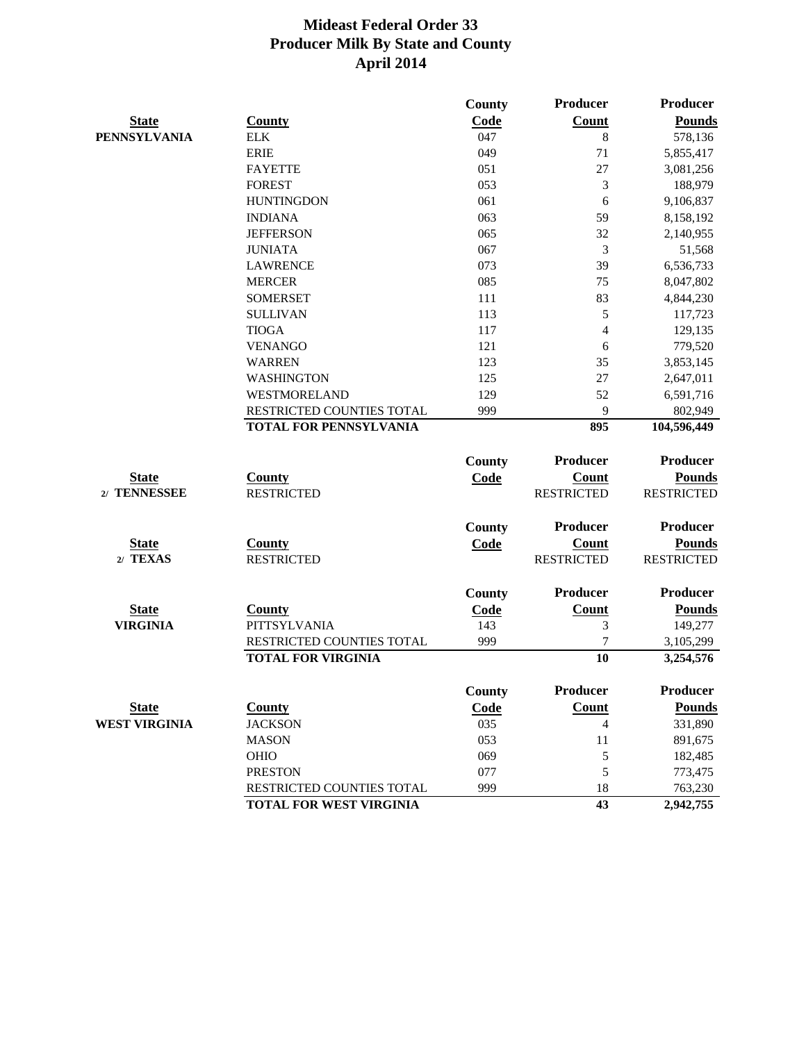|                      |                               | <b>County</b> | Producer          | <b>Producer</b>   |
|----------------------|-------------------------------|---------------|-------------------|-------------------|
| <b>State</b>         | <b>County</b>                 | Code          | <b>Count</b>      | <b>Pounds</b>     |
| <b>PENNSYLVANIA</b>  | <b>ELK</b>                    | 047           | 8                 | 578,136           |
|                      | <b>ERIE</b>                   | 049           | 71                | 5,855,417         |
|                      | <b>FAYETTE</b>                | 051           | 27                | 3,081,256         |
|                      | <b>FOREST</b>                 | 053           | 3                 | 188,979           |
|                      | <b>HUNTINGDON</b>             | 061           | 6                 | 9,106,837         |
|                      | <b>INDIANA</b>                | 063           | 59                | 8,158,192         |
|                      | <b>JEFFERSON</b>              | 065           | 32                | 2,140,955         |
|                      | <b>JUNIATA</b>                | 067           | 3                 | 51,568            |
|                      | <b>LAWRENCE</b>               | 073           | 39                | 6,536,733         |
|                      | <b>MERCER</b>                 | 085           | 75                | 8,047,802         |
|                      | <b>SOMERSET</b>               | 111           | 83                | 4,844,230         |
|                      | <b>SULLIVAN</b>               | 113           | 5                 | 117,723           |
|                      | <b>TIOGA</b>                  | 117           | 4                 | 129,135           |
|                      | <b>VENANGO</b>                | 121           | 6                 | 779,520           |
|                      | <b>WARREN</b>                 | 123           | 35                | 3,853,145         |
|                      | <b>WASHINGTON</b>             | 125           | 27                | 2,647,011         |
|                      | <b>WESTMORELAND</b>           | 129           | 52                | 6,591,716         |
|                      | RESTRICTED COUNTIES TOTAL     | 999           | 9                 | 802,949           |
|                      | <b>TOTAL FOR PENNSYLVANIA</b> |               | 895               | 104,596,449       |
|                      |                               | <b>County</b> | Producer          | Producer          |
| <b>State</b>         | <b>County</b>                 |               | <b>Count</b>      | <b>Pounds</b>     |
| 2/ TENNESSEE         | <b>RESTRICTED</b>             | Code          | <b>RESTRICTED</b> | <b>RESTRICTED</b> |
|                      |                               |               |                   |                   |
|                      |                               | <b>County</b> | Producer          | Producer          |
| <b>State</b>         | County                        | Code          | Count             | <b>Pounds</b>     |
| 2/ TEXAS             | <b>RESTRICTED</b>             |               | <b>RESTRICTED</b> | <b>RESTRICTED</b> |
|                      |                               | <b>County</b> | <b>Producer</b>   | <b>Producer</b>   |
| <b>State</b>         | <b>County</b>                 | <b>Code</b>   | <b>Count</b>      | <b>Pounds</b>     |
| <b>VIRGINIA</b>      | <b>PITTSYLVANIA</b>           | 143           | 3                 | 149,277           |
|                      | RESTRICTED COUNTIES TOTAL     | 999           | 7                 | 3,105,299         |
|                      | <b>TOTAL FOR VIRGINIA</b>     |               | 10                | 3,254,576         |
|                      |                               |               |                   |                   |
|                      |                               | <b>County</b> | Producer          | <b>Producer</b>   |
| <b>State</b>         | <b>County</b>                 | Code          | Count             | <b>Pounds</b>     |
| <b>WEST VIRGINIA</b> | <b>JACKSON</b>                | 035           | 4                 | 331,890           |
|                      | <b>MASON</b>                  | 053           | 11                | 891,675           |
|                      | <b>OHIO</b>                   | 069           | 5                 | 182,485           |
|                      | <b>PRESTON</b>                | 077           | 5                 | 773,475           |
|                      | RESTRICTED COUNTIES TOTAL     | 999           | 18                | 763,230           |
|                      | TOTAL FOR WEST VIRGINIA       |               | 43                | 2,942,755         |